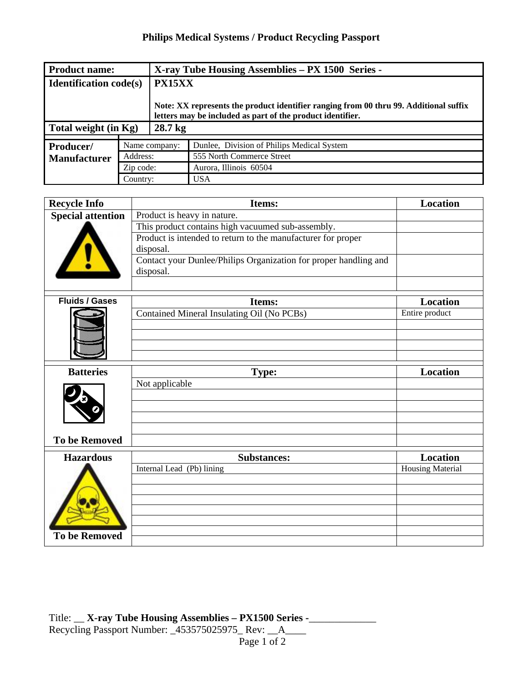## **Philips Medical Systems / Product Recycling Passport**

| <b>Product name:</b>             |               | X-ray Tube Housing Assemblies – PX 1500 Series -                                                                                                    |                                            |  |
|----------------------------------|---------------|-----------------------------------------------------------------------------------------------------------------------------------------------------|--------------------------------------------|--|
| <b>Identification code(s)</b>    |               | <b>PX15XX</b>                                                                                                                                       |                                            |  |
|                                  |               | Note: XX represents the product identifier ranging from 00 thru 99. Additional suffix<br>letters may be included as part of the product identifier. |                                            |  |
| Total weight (in Kg)             |               | 28.7 <sub>kg</sub>                                                                                                                                  |                                            |  |
|                                  |               |                                                                                                                                                     |                                            |  |
| Producer/<br><b>Manufacturer</b> | Name company: |                                                                                                                                                     | Dunlee, Division of Philips Medical System |  |
|                                  | Address:      |                                                                                                                                                     | 555 North Commerce Street                  |  |
|                                  | Zip code:     |                                                                                                                                                     | Aurora, Illinois 60504                     |  |
|                                  | Country:      |                                                                                                                                                     | <b>USA</b>                                 |  |

| <b>Recycle Info</b>      | <b>Items:</b>                                                                 | <b>Location</b> |
|--------------------------|-------------------------------------------------------------------------------|-----------------|
| <b>Special attention</b> | Product is heavy in nature.                                                   |                 |
|                          | This product contains high vacuumed sub-assembly.                             |                 |
|                          | Product is intended to return to the manufacturer for proper<br>disposal.     |                 |
|                          | Contact your Dunlee/Philips Organization for proper handling and<br>disposal. |                 |
|                          |                                                                               |                 |

| <b>Fluids / Gases</b> | Items:                                     | <b>Location</b>  |
|-----------------------|--------------------------------------------|------------------|
|                       | Contained Mineral Insulating Oil (No PCBs) | Entire product   |
|                       |                                            |                  |
|                       |                                            |                  |
|                       |                                            |                  |
|                       |                                            |                  |
| <b>Batteries</b>      | Type:                                      | <b>Location</b>  |
|                       | Not applicable                             |                  |
|                       |                                            |                  |
|                       |                                            |                  |
|                       |                                            |                  |
|                       |                                            |                  |
| <b>To be Removed</b>  |                                            |                  |
| <b>Hazardous</b>      | <b>Substances:</b>                         | <b>Location</b>  |
|                       | Internal Lead (Pb) lining                  | Housing Material |
|                       |                                            |                  |
|                       |                                            |                  |
|                       |                                            |                  |
|                       |                                            |                  |
|                       |                                            |                  |
| <b>To be Removed</b>  |                                            |                  |
|                       |                                            |                  |